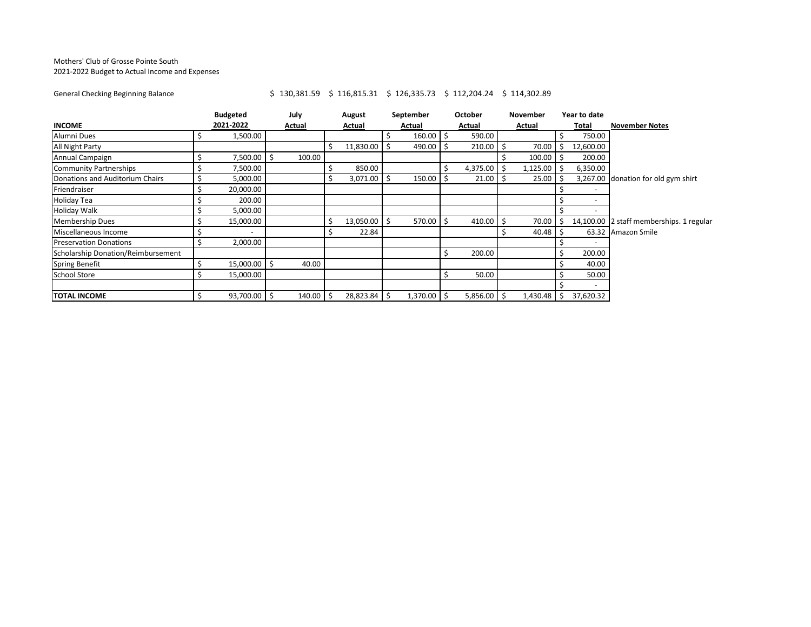## Mothers' Club of Grosse Pointe South 2021-2022 Budget to Actual Income and Expenses

## General Checking Beginning Balance <br>
\$ 130,381.59 \$ 116,815.31 \$ 126,335.73 \$ 112,204.24 \$ 114,302.89

| <b>INCOME</b>                      |  | <b>Budgeted</b><br>2021-2022 |    | July<br>Actual |  | August<br>Actual |    | September     | October       |    | November |   | Year to date |                                          |
|------------------------------------|--|------------------------------|----|----------------|--|------------------|----|---------------|---------------|----|----------|---|--------------|------------------------------------------|
|                                    |  |                              |    |                |  |                  |    | Actual        | Actual        |    | Actual   |   | Total        | <b>November Notes</b>                    |
| Alumni Dues                        |  | 1,500.00                     |    |                |  |                  |    | $160.00$ \$   | 590.00        |    |          |   | 750.00       |                                          |
| All Night Party                    |  |                              |    |                |  | 11,830.00        |    | 490.00 \$     | 210.00        |    | 70.00    |   | 12,600.00    |                                          |
| Annual Campaign                    |  | 7,500.00                     | -Ŝ | 100.00         |  |                  |    |               |               |    | 100.00   |   | 200.00       |                                          |
| <b>Community Partnerships</b>      |  | 7,500.00                     |    |                |  | 850.00           |    |               | 4,375.00      | -S | 1,125.00 |   | 6,350.00     |                                          |
| Donations and Auditorium Chairs    |  | 5,000.00                     |    |                |  | $3,071.00$ \$    |    | $150.00$ \$   | $21.00$ \$    |    | 25.00    |   |              | 3,267.00 donation for old gym shirt      |
| Friendraiser                       |  | 20,000.00                    |    |                |  |                  |    |               |               |    |          |   |              |                                          |
| <b>Holiday Tea</b>                 |  | 200.00                       |    |                |  |                  |    |               |               |    |          |   |              |                                          |
| <b>Holiday Walk</b>                |  | 5,000.00                     |    |                |  |                  |    |               |               |    |          |   |              |                                          |
| <b>Membership Dues</b>             |  | 15,000.00                    |    |                |  | 13,050.00 \$     |    | $570.00$ \$   | 410.00        |    | 70.00    |   |              | 14,100.00 2 staff memberships. 1 regular |
| Miscellaneous Income               |  |                              |    |                |  | 22.84            |    |               |               |    | 40.48    |   |              | 63.32 Amazon Smile                       |
| <b>Preservation Donations</b>      |  | 2,000.00                     |    |                |  |                  |    |               |               |    |          |   |              |                                          |
| Scholarship Donation/Reimbursement |  |                              |    |                |  |                  |    |               | 200.00        |    |          |   | 200.00       |                                          |
| <b>Spring Benefit</b>              |  | 15,000.00                    |    | 40.00          |  |                  |    |               |               |    |          |   | 40.00        |                                          |
| <b>School Store</b>                |  | 15,000.00                    |    |                |  |                  |    |               | 50.00         |    |          |   | 50.00        |                                          |
|                                    |  |                              |    |                |  |                  |    |               |               |    |          |   |              |                                          |
| <b>TOTAL INCOME</b>                |  | 93,700.00 \$                 |    | $140.00$ \$    |  | 28,823.84        | Ŝ. | $1,370.00$ \$ | $5,856.00$ \$ |    | 1,430.48 | S | 37,620.32    |                                          |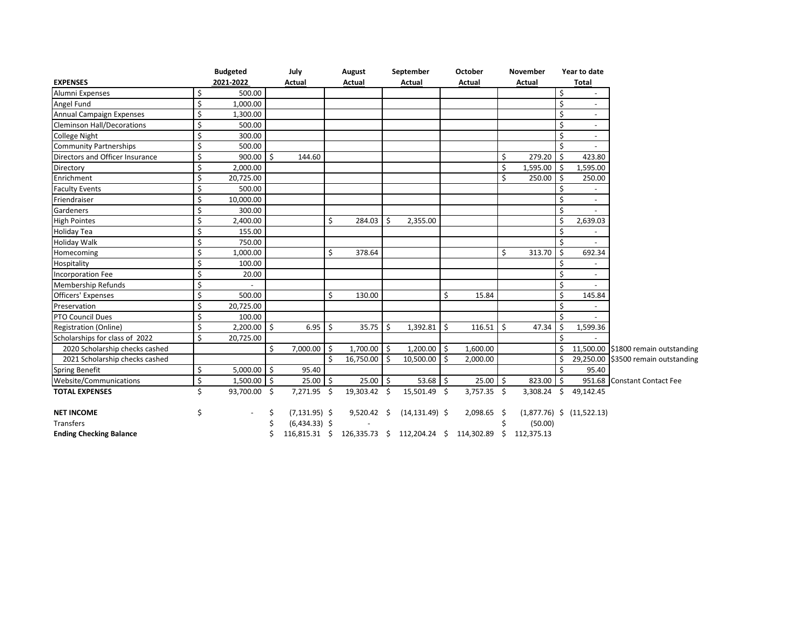|                                   |    | <b>Budgeted</b> |           | July             |                    | August        |    | September         |    | October                                                 |    | November      |              | Year to date                  |                                     |
|-----------------------------------|----|-----------------|-----------|------------------|--------------------|---------------|----|-------------------|----|---------------------------------------------------------|----|---------------|--------------|-------------------------------|-------------------------------------|
| <b>EXPENSES</b>                   |    | 2021-2022       |           | <b>Actual</b>    |                    | Actual        |    | Actual            |    | Actual                                                  |    | <b>Actual</b> |              | <b>Total</b>                  |                                     |
| Alumni Expenses                   | \$ | 500.00          |           |                  |                    |               |    |                   |    |                                                         |    |               | \$           |                               |                                     |
| Angel Fund                        | Ś  | 1,000.00        |           |                  |                    |               |    |                   |    |                                                         |    |               | \$           |                               |                                     |
| Annual Campaign Expenses          | \$ | 1,300.00        |           |                  |                    |               |    |                   |    |                                                         |    |               | Ś            |                               |                                     |
| <b>Cleminson Hall/Decorations</b> | Ś. | 500.00          |           |                  |                    |               |    |                   |    |                                                         |    |               | \$           |                               |                                     |
| <b>College Night</b>              | Ś  | 300.00          |           |                  |                    |               |    |                   |    |                                                         |    |               |              |                               |                                     |
| <b>Community Partnerships</b>     | \$ | 500.00          |           |                  |                    |               |    |                   |    |                                                         |    |               |              |                               |                                     |
| Directors and Officer Insurance   | Ś  | 900.00          | l s       | 144.60           |                    |               |    |                   |    |                                                         | \$ | 279.20        | Ś.           | 423.80                        |                                     |
| Directory                         | \$ | 2,000.00        |           |                  |                    |               |    |                   |    |                                                         | \$ | 1,595.00      | \$           | 1,595.00                      |                                     |
| Enrichment                        | Ś. | 20,725.00       |           |                  |                    |               |    |                   |    |                                                         | \$ | 250.00        | Ś            | 250.00                        |                                     |
| <b>Faculty Events</b>             | Ś. | 500.00          |           |                  |                    |               |    |                   |    |                                                         |    |               |              |                               |                                     |
| Friendraiser                      | Ś. | 10,000.00       |           |                  |                    |               |    |                   |    |                                                         |    |               | \$           | $\sim$                        |                                     |
| Gardeners                         | Ś. | 300.00          |           |                  |                    |               |    |                   |    |                                                         |    |               |              |                               |                                     |
| <b>High Pointes</b>               | Ś. | 2,400.00        |           |                  | \$                 | 284.03        | Ś. | 2,355.00          |    |                                                         |    |               | Ś            | 2,639.03                      |                                     |
| <b>Holiday Tea</b>                | Ś. | 155.00          |           |                  |                    |               |    |                   |    |                                                         |    |               | Ś            |                               |                                     |
| <b>Holiday Walk</b>               | \$ | 750.00          |           |                  |                    |               |    |                   |    |                                                         |    |               | \$           |                               |                                     |
| Homecoming                        | \$ | 1,000.00        |           |                  | \$                 | 378.64        |    |                   |    |                                                         | \$ | 313.70        | Ŝ.           | 692.34                        |                                     |
| Hospitality                       | Ś  | 100.00          |           |                  |                    |               |    |                   |    |                                                         |    |               |              |                               |                                     |
| <b>Incorporation Fee</b>          | Ś. | 20.00           |           |                  |                    |               |    |                   |    |                                                         |    |               | ς            | $\sim$                        |                                     |
| <b>Membership Refunds</b>         | \$ |                 |           |                  |                    |               |    |                   |    |                                                         |    |               | Ś            |                               |                                     |
| <b>Officers' Expenses</b>         | Ś. | 500.00          |           |                  | \$                 | 130.00        |    |                   | Ś. | 15.84                                                   |    |               | \$           | 145.84                        |                                     |
| Preservation                      | Ś  | 20,725.00       |           |                  |                    |               |    |                   |    |                                                         |    |               | Ś            |                               |                                     |
| PTO Council Dues                  | Ś. | 100.00          |           |                  |                    |               |    |                   |    |                                                         |    |               |              |                               |                                     |
| Registration (Online)             | Ś. | 2,200.00        | $\vert$ s | 6.95             | $\mathsf{\hat{S}}$ | 35.75         | Ŝ. | 1,392.81          | Ŝ. | 116.51                                                  | Ŝ. | 47.34         | Ś            | 1,599.36                      |                                     |
| Scholarships for class of 2022    | Ś. | 20,725.00       |           |                  |                    |               |    |                   |    |                                                         |    |               | ς            |                               |                                     |
| 2020 Scholarship checks cashed    |    |                 | Ś.        | 7,000.00         | -Ś                 | 1,700.00 \$   |    | $1,200.00$ \$     |    | 1,600.00                                                |    |               |              |                               | 11,500.00 \$1800 remain outstanding |
| 2021 Scholarship checks cashed    |    |                 |           |                  | Ŝ.                 | 16,750.00     | Ŝ. | 10,500.00         | Ŝ. | 2,000.00                                                |    |               | Ś            |                               | 29,250.00 \$3500 remain outstanding |
| <b>Spring Benefit</b>             | \$ | $5,000.00$ \$   |           | 95.40            |                    |               |    |                   |    |                                                         |    |               | Ś            | 95.40                         |                                     |
| Website/Communications            | \$ | $1,500.00$ \$   |           | $25.00$ \$       |                    | 25.00         | Ŝ. | $53.68$ \$        |    | $25.00$ \$                                              |    | 823.00        | Ŝ.           |                               | 951.68 Constant Contact Fee         |
| <b>TOTAL EXPENSES</b>             | Ś. | 93,700.00 \$    |           | 7,271.95 \$      |                    | 19,303.42 \$  |    | 15,501.49 \$      |    | $3,757.35$ \$                                           |    | 3,308.24      | $\mathsf{S}$ | 49,142.45                     |                                     |
| <b>NET INCOME</b>                 | Ś  |                 | Ś         | $(7, 131.95)$ \$ |                    | $9,520.42$ \$ |    | $(14, 131.49)$ \$ |    | 2,098.65 \$                                             |    |               |              | $(1,877.76)$ \$ $(11,522.13)$ |                                     |
| Transfers                         |    |                 |           | $(6,434.33)$ \$  |                    |               |    |                   |    |                                                         |    | (50.00)       |              |                               |                                     |
| <b>Ending Checking Balance</b>    |    |                 |           |                  |                    |               |    |                   |    | 116,815.31 \$ 126,335.73 \$ 112,204.24 \$ 114,302.89 \$ |    | 112,375.13    |              |                               |                                     |